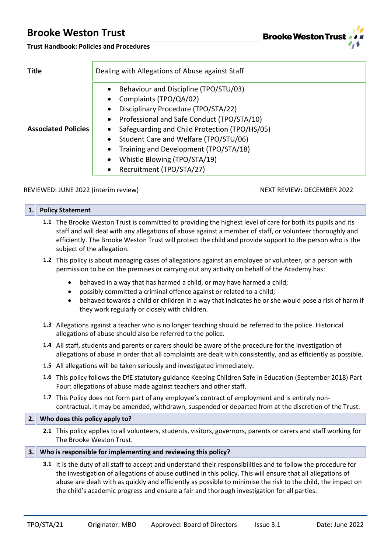**Trust Handbook: Policies and Procedures**

| <b>Title</b>               | Dealing with Allegations of Abuse against Staff                                                                                                                                                                                                                                                                                                                                                                     |
|----------------------------|---------------------------------------------------------------------------------------------------------------------------------------------------------------------------------------------------------------------------------------------------------------------------------------------------------------------------------------------------------------------------------------------------------------------|
| <b>Associated Policies</b> | Behaviour and Discipline (TPO/STU/03)<br>$\bullet$<br>Complaints (TPO/QA/02)<br>$\bullet$<br>Disciplinary Procedure (TPO/STA/22)<br>٠<br>Professional and Safe Conduct (TPO/STA/10)<br>$\bullet$<br>Safeguarding and Child Protection (TPO/HS/05)<br>Student Care and Welfare (TPO/STU/06)<br>٠<br>Training and Development (TPO/STA/18)<br>٠<br>Whistle Blowing (TPO/STA/19)<br>٠<br>Recruitment (TPO/STA/27)<br>٠ |

# REVIEWED: JUNE 2022 (interim review) NEXT REVIEW: DECEMBER 2022

| \ 1.  \ | <b>Policy Statement</b> |
|---------|-------------------------|
|         |                         |

- **1.1** The Brooke Weston Trust is committed to providing the highest level of care for both its pupils and its staff and will deal with any allegations of abuse against a member of staff, or volunteer thoroughly and efficiently. The Brooke Weston Trust will protect the child and provide support to the person who is the subject of the allegation.
- **1.2** This policy is about managing cases of allegations against an employee or volunteer, or a person with permission to be on the premises or carrying out any activity on behalf of the Academy has:
	- behaved in a way that has harmed a child, or may have harmed a child;
	- possibly committed a criminal offence against or related to a child;
	- behaved towards a child or children in a way that indicates he or she would pose a risk of harm if they work regularly or closely with children.
- **1.3** Allegations against a teacher who is no longer teaching should be referred to the police. Historical allegations of abuse should also be referred to the police.
- **1.4** All staff, students and parents or carers should be aware of the procedure for the investigation of allegations of abuse in order that all complaints are dealt with consistently, and as efficiently as possible.
- **1.5** All allegations will be taken seriously and investigated immediately.
- **1.6** This policy follows the DfE statutory guidance Keeping Children Safe in Education (September 2018) Part Four: allegations of abuse made against teachers and other staff.
- **1.7** This Policy does not form part of any employee's contract of employment and is entirely noncontractual. It may be amended, withdrawn, suspended or departed from at the discretion of the Trust.

# **2. Who does this policy apply to?**

**2.1** This policy applies to all volunteers, students, visitors, governors, parents or carers and staff working for The Brooke Weston Trust.

# **3. Who is responsible for implementing and reviewing this policy?**

**3.1** It is the duty of all staff to accept and understand their responsibilities and to follow the procedure for the investigation of allegations of abuse outlined in this policy. This will ensure that all allegations of abuse are dealt with as quickly and efficiently as possible to minimise the risk to the child, the impact on the child's academic progress and ensure a fair and thorough investigation for all parties.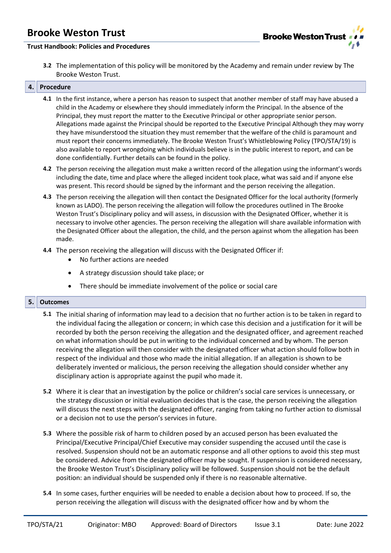

# **Trust Handbook: Policies and Procedures**

**3.2** The implementation of this policy will be monitored by the Academy and remain under review by The Brooke Weston Trust.

#### **4. Procedure**

- **4.1** In the first instance, where a person has reason to suspect that another member of staff may have abused a child in the Academy or elsewhere they should immediately inform the Principal. In the absence of the Principal, they must report the matter to the Executive Principal or other appropriate senior person. Allegations made against the Principal should be reported to the Executive Principal Although they may worry they have misunderstood the situation they must remember that the welfare of the child is paramount and must report their concerns immediately. The Brooke Weston Trust's Whistleblowing Policy (TPO/STA/19) is also available to report wrongdoing which individuals believe is in the public interest to report, and can be done confidentially. Further details can be found in the policy.
- **4.2** The person receiving the allegation must make a written record of the allegation using the informant's words including the date, time and place where the alleged incident took place, what was said and if anyone else was present. This record should be signed by the informant and the person receiving the allegation.
- **4.3** The person receiving the allegation will then contact the Designated Officer for the local authority (formerly known as LADO). The person receiving the allegation will follow the procedures outlined in The Brooke Weston Trust's Disciplinary policy and will assess, in discussion with the Designated Officer, whether it is necessary to involve other agencies. The person receiving the allegation will share available information with the Designated Officer about the allegation, the child, and the person against whom the allegation has been made.
- **4.4** The person receiving the allegation will discuss with the Designated Officer if:
	- No further actions are needed
	- A strategy discussion should take place; or
	- There should be immediate involvement of the police or social care

# **5. Outcomes**

- **5.1** The initial sharing of information may lead to a decision that no further action is to be taken in regard to the individual facing the allegation or concern; in which case this decision and a justification for it will be recorded by both the person receiving the allegation and the designated officer, and agreement reached on what information should be put in writing to the individual concerned and by whom. The person receiving the allegation will then consider with the designated officer what action should follow both in respect of the individual and those who made the initial allegation. If an allegation is shown to be deliberately invented or malicious, the person receiving the allegation should consider whether any disciplinary action is appropriate against the pupil who made it.
- **5.2** Where it is clear that an investigation by the police or children's social care services is unnecessary, or the strategy discussion or initial evaluation decides that is the case, the person receiving the allegation will discuss the next steps with the designated officer, ranging from taking no further action to dismissal or a decision not to use the person's services in future.
- **5.3** Where the possible risk of harm to children posed by an accused person has been evaluated the Principal/Executive Principal/Chief Executive may consider suspending the accused until the case is resolved. Suspension should not be an automatic response and all other options to avoid this step must be considered. Advice from the designated officer may be sought. If suspension is considered necessary, the Brooke Weston Trust's Disciplinary policy will be followed. Suspension should not be the default position: an individual should be suspended only if there is no reasonable alternative.
- **5.4** In some cases, further enquiries will be needed to enable a decision about how to proceed. If so, the person receiving the allegation will discuss with the designated officer how and by whom the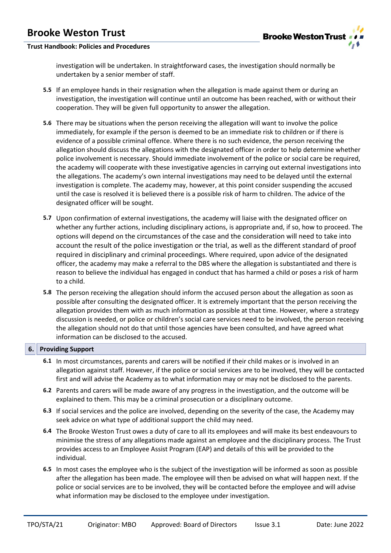

# **Trust Handbook: Policies and Procedures**

investigation will be undertaken. In straightforward cases, the investigation should normally be undertaken by a senior member of staff.

- **5.5** If an employee hands in their resignation when the allegation is made against them or during an investigation, the investigation will continue until an outcome has been reached, with or without their cooperation. They will be given full opportunity to answer the allegation.
- **5.6** There may be situations when the person receiving the allegation will want to involve the police immediately, for example if the person is deemed to be an immediate risk to children or if there is evidence of a possible criminal offence. Where there is no such evidence, the person receiving the allegation should discuss the allegations with the designated officer in order to help determine whether police involvement is necessary. Should immediate involvement of the police or social care be required, the academy will cooperate with these investigative agencies in carrying out external investigations into the allegations. The academy's own internal investigations may need to be delayed until the external investigation is complete. The academy may, however, at this point consider suspending the accused until the case is resolved it is believed there is a possible risk of harm to children. The advice of the designated officer will be sought.
- **5.7** Upon confirmation of external investigations, the academy will liaise with the designated officer on whether any further actions, including disciplinary actions, is appropriate and, if so, how to proceed. The options will depend on the circumstances of the case and the consideration will need to take into account the result of the police investigation or the trial, as well as the different standard of proof required in disciplinary and criminal proceedings. Where required, upon advice of the designated officer, the academy may make a referral to the DBS where the allegation is substantiated and there is reason to believe the individual has engaged in conduct that has harmed a child or poses a risk of harm to a child.
- **5.8** The person receiving the allegation should inform the accused person about the allegation as soon as possible after consulting the designated officer. It is extremely important that the person receiving the allegation provides them with as much information as possible at that time. However, where a strategy discussion is needed, or police or children's social care services need to be involved, the person receiving the allegation should not do that until those agencies have been consulted, and have agreed what information can be disclosed to the accused.

# **6. Providing Support**

- **6.1** In most circumstances, parents and carers will be notified if their child makes or is involved in an allegation against staff. However, if the police or social services are to be involved, they will be contacted first and will advise the Academy as to what information may or may not be disclosed to the parents.
- **6.2** Parents and carers will be made aware of any progress in the investigation, and the outcome will be explained to them. This may be a criminal prosecution or a disciplinary outcome.
- **6.3** If social services and the police are involved, depending on the severity of the case, the Academy may seek advice on what type of additional support the child may need.
- **6.4** The Brooke Weston Trust owes a duty of care to all its employees and will make its best endeavours to minimise the stress of any allegations made against an employee and the disciplinary process. The Trust provides access to an Employee Assist Program (EAP) and details of this will be provided to the individual.
- **6.5** In most cases the employee who is the subject of the investigation will be informed as soon as possible after the allegation has been made. The employee will then be advised on what will happen next. If the police or social services are to be involved, they will be contacted before the employee and will advise what information may be disclosed to the employee under investigation.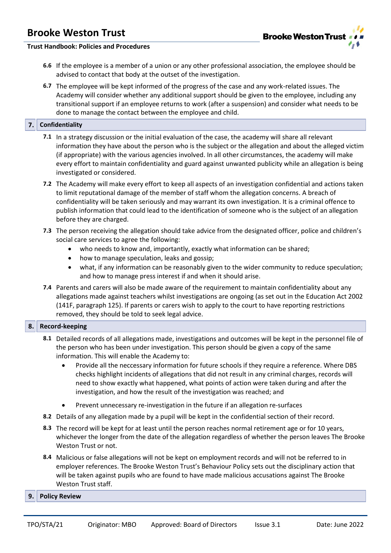

### **Trust Handbook: Policies and Procedures**

- **6.6** If the employee is a member of a union or any other professional association, the employee should be advised to contact that body at the outset of the investigation.
- **6.7** The employee will be kept informed of the progress of the case and any work-related issues. The Academy will consider whether any additional support should be given to the employee, including any transitional support if an employee returns to work (after a suspension) and consider what needs to be done to manage the contact between the employee and child.

# **7. Confidentiality**

- **7.1** In a strategy discussion or the initial evaluation of the case, the academy will share all relevant information they have about the person who is the subject or the allegation and about the alleged victim (if appropriate) with the various agencies involved. In all other circumstances, the academy will make every effort to maintain confidentiality and guard against unwanted publicity while an allegation is being investigated or considered.
- **7.2** The Academy will make every effort to keep all aspects of an investigation confidential and actions taken to limit reputational damage of the member of staff whom the allegation concerns. A breach of confidentiality will be taken seriously and may warrant its own investigation. It is a criminal offence to publish information that could lead to the identification of someone who is the subject of an allegation before they are charged.
- **7.3** The person receiving the allegation should take advice from the designated officer, police and children's social care services to agree the following:
	- who needs to know and, importantly, exactly what information can be shared;
	- how to manage speculation, leaks and gossip;
	- what, if any information can be reasonably given to the wider community to reduce speculation; and how to manage press interest if and when it should arise.
- **7.4** Parents and carers will also be made aware of the requirement to maintain confidentiality about any allegations made against teachers whilst investigations are ongoing (as set out in the Education Act 2002 (141F, paragraph 125). If parents or carers wish to apply to the court to have reporting restrictions removed, they should be told to seek legal advice.

# **8. Record-keeping**

- **8.1** Detailed records of all allegations made, investigations and outcomes will be kept in the personnel file of the person who has been under investigation. This person should be given a copy of the same information. This will enable the Academy to:
	- Provide all the neccessary information for future schools if they require a reference. Where DBS checks highlight incidents of allegations that did not result in any criminal charges, records will need to show exactly what happened, what points of action were taken during and after the investigation, and how the result of the investigation was reached; and
	- Prevent unnecessary re-investigation in the future if an allegation re-surfaces
- **8.2** Details of any allegation made by a pupil will be kept in the confidential section of their record.
- **8.3** The record will be kept for at least until the person reaches normal retirement age or for 10 years, whichever the longer from the date of the allegation regardless of whether the person leaves The Brooke Weston Trust or not.
- **8.4** Malicious or false allegations will not be kept on employment records and will not be referred to in employer references. The Brooke Weston Trust's Behaviour Policy sets out the disciplinary action that will be taken against pupils who are found to have made malicious accusations against The Brooke Weston Trust staff.

#### **9. Policy Review**